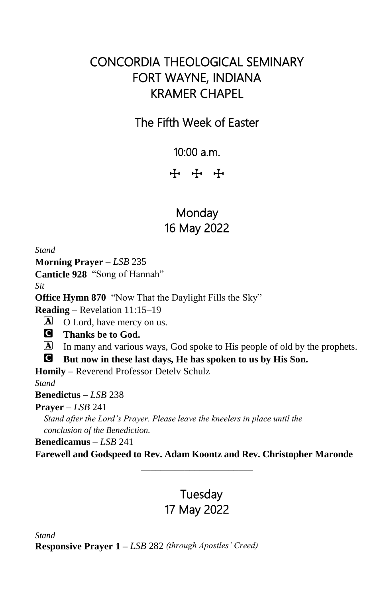# CONCORDIA THEOLOGICAL SEMINARY FORT WAYNE, INDIANA KRAMER CHAPEL

## The Fifth Week of Easter

10:00 a.m.

**+ + +** 

# **Monday** 16 May 2022

*Stand*

**Morning Prayer** – *LSB* 235

**Canticle 928** "Song of Hannah"

*Sit*

**Office Hymn 870** "Now That the Daylight Fills the Sky"

**Reading** – Revelation 11:15–19

A O Lord, have mercy on us.

C **Thanks be to God.**

A In many and various ways, God spoke to His people of old by the prophets.

C **But now in these last days, He has spoken to us by His Son.**

**Homily –** Reverend Professor Detelv Schulz

*Stand*

**Benedictus –** *LSB* 238

## **Prayer –** *LSB* 241

*Stand after the Lord's Prayer. Please leave the kneelers in place until the conclusion of the Benediction.*

**Benedicamus** – *LSB* 241

**Farewell and Godspeed to Rev. Adam Koontz and Rev. Christopher Maronde** \_\_\_\_\_\_\_\_\_\_\_\_\_\_\_\_\_\_\_\_\_\_\_

# **Tuesday** 17 May 2022

*Stand*

**Responsive Prayer 1 –** *LSB* 282 *(through Apostles' Creed)*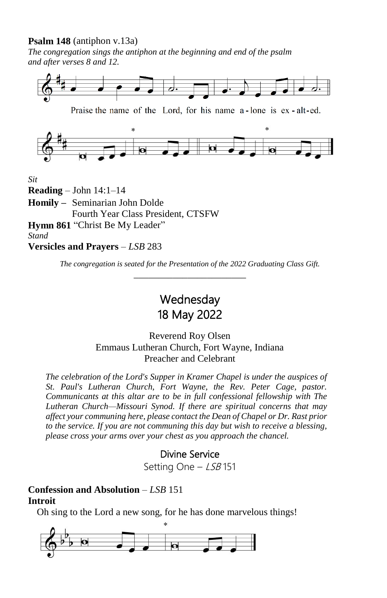### **Psalm 148** (antiphon v.13a)

*The congregation sings the antiphon at the beginning and end of the psalm and after verses 8 and 12.*



Praise the name of the Lord, for his name a-lone is ex-alt-ed.



*Sit*

**Reading** – John 14:1–14

**Homily –** Seminarian John Dolde Fourth Year Class President, CTSFW

**Hymn 861** "Christ Be My Leader" *Stand*

**Versicles and Prayers** – *LSB* 283

*The congregation is seated for the Presentation of the 2022 Graduating Class Gift.* \_\_\_\_\_\_\_\_\_\_\_\_\_\_\_\_\_\_\_\_\_\_\_

> **Wednesday** 18 May 2022

Reverend Roy Olsen Emmaus Lutheran Church, Fort Wayne, Indiana Preacher and Celebrant

*The celebration of the Lord's Supper in Kramer Chapel is under the auspices of St. Paul's Lutheran Church, Fort Wayne, the Rev. Peter Cage, pastor. Communicants at this altar are to be in full confessional fellowship with The Lutheran Church—Missouri Synod. If there are spiritual concerns that may affect your communing here, please contact the Dean of Chapel or Dr. Rast prior to the service. If you are not communing this day but wish to receive a blessing, please cross your arms over your chest as you approach the chancel.*

## Divine Service

Setting One - LSB 151

## **Confession and Absolution** – *LSB* 151 **Introit**

Oh sing to the Lord a new song, for he has done marvelous things!

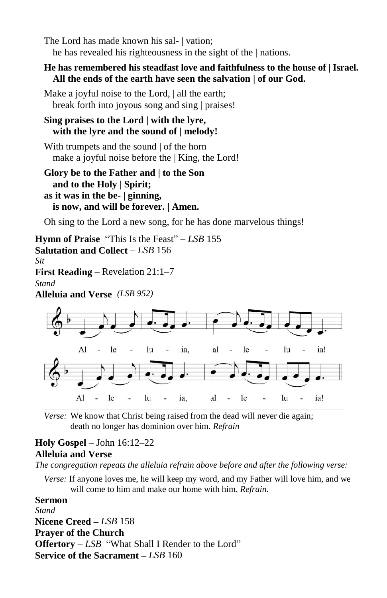The Lord has made known his sal- | vation; he has revealed his righteousness in the sight of the | nations.

### **He has remembered his steadfast love and faithfulness to the house of | Israel. All the ends of the earth have seen the salvation | of our God.**

Make a joyful noise to the Lord, | all the earth; break forth into joyous song and sing | praises!

### **Sing praises to the Lord | with the lyre, with the lyre and the sound of | melody!**

With trumpets and the sound | of the horn make a joyful noise before the | King, the Lord!

**Glory be to the Father and | to the Son and to the Holy | Spirit; as it was in the be- | ginning, is now, and will be forever. | Amen.**

Oh sing to the Lord a new song, for he has done marvelous things!

**Hymn of Praise** "This Is the Feast" **–** *LSB* 155 **Salutation and Collect** – *LSB* 156 *Sit* **First Reading** – Revelation 21:1–7 *Stand*

**Alleluia and Verse** *(LSB 952)*



*Verse:* We know that Christ being raised from the dead will never die again; death no longer has dominion over him. *Refrain*

### **Holy Gospel** – John 16:12–22 **Alleluia and Verse**

*The congregation repeats the alleluia refrain above before and after the following verse:*

*Verse:* If anyone loves me, he will keep my word, and my Father will love him, and we will come to him and make our home with him. *Refrain.*

**Sermon** *Stand* **Nicene Creed –** *LSB* 158 **Prayer of the Church Offertory** – *LSB* "What Shall I Render to the Lord" **Service of the Sacrament –** *LSB* 160